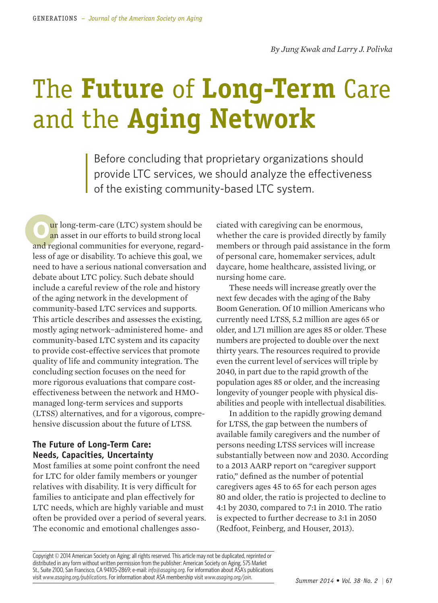# The **Future** of **Long-Term** Care and the **Aging Network**

Before concluding that proprietary organizations should provide LTC services, we should analyze the effectiveness of the existing community-based LTC system.

**ur** long-term-care (LTC) system should be an asset in our efforts to build strong local and regional communities for everyone, regardless of age or disability. To achieve this goal, we need to have a serious national conversation and debate about LTC policy. Such debate should include a careful review of the role and history of the aging network in the development of community-based LTC services and supports. This article describes and assesses the existing, mostly aging network−administered home- and community-based LTC system and its capacity to provide cost-effective services that promote quality of life and community integration. The concluding section focuses on the need for more rigorous evaluations that compare costeffectiveness between the network and HMOmanaged long-term services and supports (LTSS) alternatives, and for a vigorous, comprehensive discussion about the future of LTSS.

# **The Future of Long-Term Care: Needs, Capacities, Uncertainty**

Most families at some point confront the need for LTC for older family members or younger relatives with disability. It is very difficult for families to anticipate and plan effectively for LTC needs, which are highly variable and must often be provided over a period of several years. The economic and emotional challenges associated with caregiving can be enormous, whether the care is provided directly by family members or through paid assistance in the form of personal care, homemaker services, adult daycare, home healthcare, assisted living, or nursing home care.

These needs will increase greatly over the next few decades with the aging of the Baby Boom Generation. Of 10 million Americans who currently need LTSS, 5.2 million are ages 65 or older, and 1.71 million are ages 85 or older. These numbers are projected to double over the next thirty years. The resources required to provide even the current level of services will triple by 2040, in part due to the rapid growth of the population ages 85 or older, and the increasing longevity of younger people with physical disabilities and people with intellectual disabilities.

In addition to the rapidly growing demand for LTSS, the gap between the numbers of available family caregivers and the number of persons needing LTSS services will increase substantially between now and 2030. According to a 2013 AARP report on "caregiver support ratio," defined as the number of potential caregivers ages 45 to 65 for each person ages 80 and older, the ratio is projected to decline to 4:1 by 2030, compared to 7:1 in 2010. The ratio is expected to further decrease to 3:1 in 2050 (Redfoot, Feinberg, and Houser, 2013).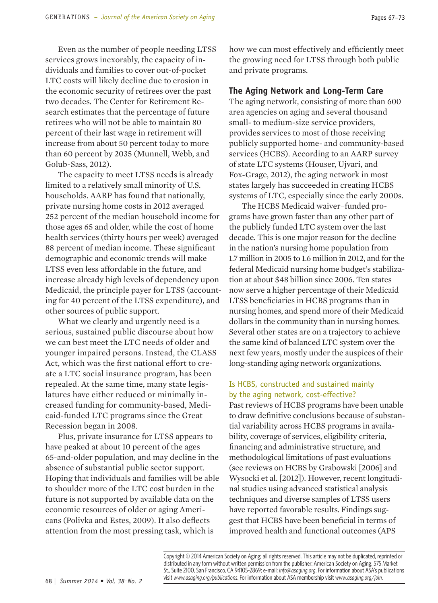Even as the number of people needing LTSS services grows inexorably, the capacity of individuals and families to cover out-of-pocket LTC costs will likely decline due to erosion in the economic security of retirees over the past two decades. The Center for Retirement Research estimates that the percentage of future retirees who will not be able to maintain 80 percent of their last wage in retirement will increase from about 50 percent today to more than 60 percent by 2035 (Munnell, Webb, and Golub-Sass, 2012).

The capacity to meet LTSS needs is already limited to a relatively small minority of U.S. households. AARP has found that nationally, private nursing home costs in 2012 averaged 252 percent of the median household income for those ages 65 and older, while the cost of home health services (thirty hours per week) averaged 88 percent of median income. These significant demographic and economic trends will make LTSS even less affordable in the future, and increase already high levels of dependency upon Medicaid, the principle payer for LTSS (accounting for 40 percent of the LTSS expenditure), and other sources of public support.

What we clearly and urgently need is a serious, sustained public discourse about how we can best meet the LTC needs of older and younger impaired persons. Instead, the CLASS Act, which was the first national effort to create a LTC social insurance program, has been repealed. At the same time, many state legislatures have either reduced or minimally increased funding for community-based, Medicaid-funded LTC programs since the Great Recession began in 2008.

Plus, private insurance for LTSS appears to have peaked at about 10 percent of the ages 65-and-older population, and may decline in the absence of substantial public sector support. Hoping that individuals and families will be able to shoulder more of the LTC cost burden in the future is not supported by available data on the economic resources of older or aging Americans (Polivka and Estes, 2009). It also deflects attention from the most pressing task, which is

how we can most effectively and efficiently meet the growing need for LTSS through both public and private programs.

# **The Aging Network and Long-Term Care**

The aging network, consisting of more than 600 area agencies on aging and several thousand small- to medium-size service providers, provides services to most of those receiving publicly supported home- and community-based services (HCBS). According to an AARP survey of state LTC systems (Houser, Ujvari, and Fox-Grage, 2012), the aging network in most states largely has succeeded in creating HCBS systems of LTC, especially since the early 2000s.

The HCBS Medicaid waiver−funded programs have grown faster than any other part of the publicly funded LTC system over the last decade. This is one major reason for the decline in the nation's nursing home population from 1.7 million in 2005 to 1.6 million in 2012, and for the federal Medicaid nursing home budget's stabilization at about \$48 billion since 2006. Ten states now serve a higher percentage of their Medicaid LTSS beneficiaries in HCBS programs than in nursing homes, and spend more of their Medicaid dollars in the community than in nursing homes. Several other states are on a trajectory to achieve the same kind of balanced LTC system over the next few years, mostly under the auspices of their long-standing aging network organizations.

#### Is HCBS, constructed and sustained mainly by the aging network, cost-effective?

Past reviews of HCBS programs have been unable to draw definitive conclusions because of substantial variability across HCBS programs in availability, coverage of services, eligibility criteria, financing and administrative structure, and methodological limitations of past evaluations (see reviews on HCBS by Grabowski [2006] and Wysocki et al. [2012]). However, recent longitudinal studies using advanced statistical analysis techniques and diverse samples of LTSS users have reported favorable results. Findings suggest that HCBS have been beneficial in terms of improved health and functional outcomes (APS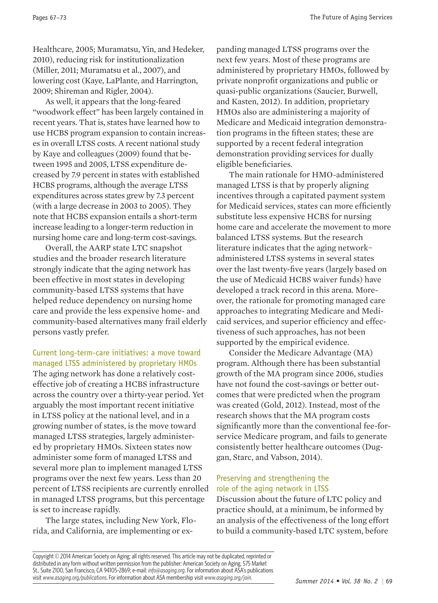Healthcare, 2005; Muramatsu, Yin, and Hedeker, 2010), reducing risk for institutionalization (Miller, 2011; Muramatsu et al., 2007), and lowering cost (Kaye, LaPlante, and Harrington, 2009; Shireman and Rigler, 2004).

As well, it appears that the long-feared "woodwork effect" has been largely contained in recent years. That is, states have learned how to use HCBS program expansion to contain increases in overall LTSS costs. A recent national study by Kaye and colleagues (2009) found that between 1995 and 2005, LTSS expenditure decreased by 7.9 percent in states with established HCBS programs, although the average LTSS expenditures across states grew by 7.3 percent (with a large decrease in 2003 to 2005). They note that HCBS expansion entails a short-term increase leading to a longer-term reduction in nursing home care and long-term cost-savings.

Overall, the AARP state LTC snapshot studies and the broader research literature strongly indicate that the aging network has been effective in most states in developing community-based LTSS systems that have helped reduce dependency on nursing home care and provide the less expensive home- and community-based alternatives many frail elderly persons vastly prefer.

Current long-term-care initiatives: a move toward managed LTSS administered by proprietary HMOs The aging network has done a relatively costeffective job of creating a HCBS infrastructure across the country over a thirty-year period. Yet arguably the most important recent initiative in LTSS policy at the national level, and in a growing number of states, is the move toward managed LTSS strategies, largely administered by proprietary HMOs. Sixteen states now administer some form of managed LTSS and several more plan to implement managed LTSS programs over the next few years. Less than 20 percent of LTSS recipients are currently enrolled in managed LTSS programs, but this percentage is set to increase rapidly.

The large states, including New York, Florida, and California, are implementing or expanding managed LTSS programs over the next few years. Most of these programs are administered by proprietary HMOs, followed by private nonprofit organizations and public or quasi-public organizations (Saucier, Burwell, and Kasten, 2012). In addition, proprietary HMOs also are administering a majority of Medicare and Medicaid integration demonstration programs in the fifteen states; these are supported by a recent federal integration demonstration providing services for dually eligible beneficiaries.

The main rationale for HMO-administered managed LTSS is that by properly aligning incentives through a capitated payment system for Medicaid services, states can more efficiently substitute less expensive HCBS for nursing home care and accelerate the movement to more balanced LTSS systems. But the research literature indicates that the aging network− administered LTSS systems in several states over the last twenty-five years (largely based on the use of Medicaid HCBS waiver funds) have developed a track record in this arena. Moreover, the rationale for promoting managed care approaches to integrating Medicare and Medicaid services, and superior efficiency and effectiveness of such approaches, has not been supported by the empirical evidence.

Consider the Medicare Advantage (MA) program. Although there has been substantial growth of the MA program since 2006, studies have not found the cost-savings or better outcomes that were predicted when the program was created (Gold, 2012). Instead, most of the research shows that the MA program costs significantly more than the conventional fee-forservice Medicare program, and fails to generate consistently better healthcare outcomes (Duggan, Starc, and Vabson, 2014).

# Preserving and strengthening the role of the aging network in LTSS

Discussion about the future of LTC policy and practice should, at a minimum, be informed by an analysis of the effectiveness of the long effort to build a community-based LTC system, before

Copyright © 2014 American Society on Aging; all rights reserved. This article may not be duplicated, reprinted or distributed in any form without written permission from the publisher: American Society on Aging, 575 Market St., Suite 2100, San Francisco, CA 94105-2869; e-mail: *info@asaging.org*. For information about ASA's publications visit *www.asaging.org/publications*. For information about ASA membership visit *www.asaging.org/join*.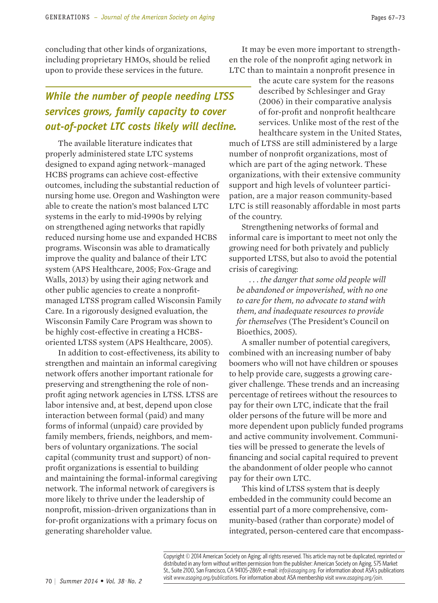concluding that other kinds of organizations, including proprietary HMOs, should be relied upon to provide these services in the future.

# *While the number of people needing LTSS services grows, family capacity to cover out-of-pocket LTC costs likely will decline.*

The available literature indicates that properly administered state LTC systems designed to expand aging network−managed HCBS programs can achieve cost-effective outcomes, including the substantial reduction of nursing home use. Oregon and Washington were able to create the nation's most balanced LTC systems in the early to mid-1990s by relying on strengthened aging networks that rapidly reduced nursing home use and expanded HCBS programs. Wisconsin was able to dramatically improve the quality and balance of their LTC system (APS Healthcare, 2005; Fox-Grage and Walls, 2013) by using their aging network and other public agencies to create a nonprofitmanaged LTSS program called Wisconsin Family Care. In a rigorously designed evaluation, the Wisconsin Family Care Program was shown to be highly cost-effective in creating a HCBSoriented LTSS system (APS Healthcare, 2005).

In addition to cost-effectiveness, its ability to strengthen and maintain an informal caregiving network offers another important rationale for preserving and strengthening the role of nonprofit aging network agencies in LTSS. LTSS are labor intensive and, at best, depend upon close interaction between formal (paid) and many forms of informal (unpaid) care provided by family members, friends, neighbors, and members of voluntary organizations. The social capital (community trust and support) of nonprofit organizations is essential to building and maintaining the formal-informal caregiving network. The informal network of caregivers is more likely to thrive under the leadership of nonprofit, mission-driven organizations than in for-profit organizations with a primary focus on generating shareholder value.

It may be even more important to strengthen the role of the nonprofit aging network in LTC than to maintain a nonprofit presence in

> the acute care system for the reasons described by Schlesinger and Gray (2006) in their comparative analysis of for-profit and nonprofit healthcare services. Unlike most of the rest of the healthcare system in the United States,

much of LTSS are still administered by a large number of nonprofit organizations, most of which are part of the aging network. These organizations, with their extensive community support and high levels of volunteer participation, are a major reason community-based LTC is still reasonably affordable in most parts of the country.

Strengthening networks of formal and informal care is important to meet not only the growing need for both privately and publicly supported LTSS, but also to avoid the potential crisis of caregiving:

*. . . the danger that some old people will be abandoned or impoverished, with no one to care for them, no advocate to stand with them, and inadequate resources to provide for themselves* (The President's Council on Bioethics, 2005)*.* 

A smaller number of potential caregivers, combined with an increasing number of baby boomers who will not have children or spouses to help provide care, suggests a growing caregiver challenge. These trends and an increasing percentage of retirees without the resources to pay for their own LTC, indicate that the frail older persons of the future will be more and more dependent upon publicly funded programs and active community involvement. Communities will be pressed to generate the levels of financing and social capital required to prevent the abandonment of older people who cannot pay for their own LTC.

This kind of LTSS system that is deeply embedded in the community could become an essential part of a more comprehensive, community-based (rather than corporate) model of integrated, person-centered care that encompass-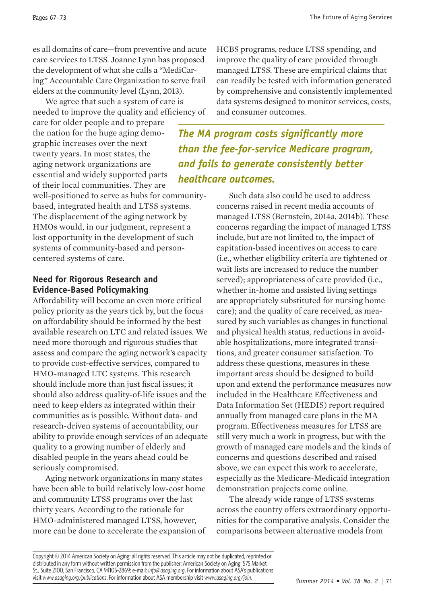es all domains of care—from preventive and acute care services to LTSS. Joanne Lynn has proposed the development of what she calls a "MediCaring" Accountable Care Organization to serve frail elders at the community level (Lynn, 2013).

We agree that such a system of care is needed to improve the quality and efficiency of

care for older people and to prepare the nation for the huge aging demographic increases over the next twenty years. In most states, the aging network organizations are essential and widely supported parts of their local communities. They are

well-positioned to serve as hubs for communitybased, integrated health and LTSS systems. The displacement of the aging network by HMOs would, in our judgment, represent a lost opportunity in the development of such systems of community-based and personcentered systems of care.

# **Need for Rigorous Research and Evidence-Based Policymaking**

Affordability will become an even more critical policy priority as the years tick by, but the focus on affordability should be informed by the best available research on LTC and related issues. We need more thorough and rigorous studies that assess and compare the aging network's capacity to provide cost-effective services, compared to HMO-managed LTC systems. This research should include more than just fiscal issues; it should also address quality-of-life issues and the need to keep elders as integrated within their communities as is possible. Without data- and research-driven systems of accountability, our ability to provide enough services of an adequate quality to a growing number of elderly and disabled people in the years ahead could be seriously compromised.

Aging network organizations in many states have been able to build relatively low-cost home and community LTSS programs over the last thirty years. According to the rationale for HMO-administered managed LTSS, however, more can be done to accelerate the expansion of HCBS programs, reduce LTSS spending, and improve the quality of care provided through managed LTSS. These are empirical claims that can readily be tested with information generated by comprehensive and consistently implemented data systems designed to monitor services, costs, and consumer outcomes.

*The MA program costs significantly more than the fee-for-service Medicare program, and fails to generate consistently better healthcare outcomes.*

> Such data also could be used to address concerns raised in recent media accounts of managed LTSS (Bernstein, 2014a, 2014b). These concerns regarding the impact of managed LTSS include, but are not limited to, the impact of capitation-based incentives on access to care (i.e., whether eligibility criteria are tightened or wait lists are increased to reduce the number served); appropriateness of care provided (i.e., whether in-home and assisted living settings are appropriately substituted for nursing home care); and the quality of care received, as measured by such variables as changes in functional and physical health status, reductions in avoidable hospitalizations, more integrated transitions, and greater consumer satisfaction. To address these questions, measures in these important areas should be designed to build upon and extend the performance measures now included in the Healthcare Effectiveness and Data Information Set (HEDIS) report required annually from managed care plans in the MA program. Effectiveness measures for LTSS are still very much a work in progress, but with the growth of managed care models and the kinds of concerns and questions described and raised above, we can expect this work to accelerate, especially as the Medicare-Medicaid integration demonstration projects come online.

The already wide range of LTSS systems across the country offers extraordinary opportunities for the comparative analysis. Consider the comparisons between alternative models from

Copyright © 2014 American Society on Aging; all rights reserved. This article may not be duplicated, reprinted or distributed in any form without written permission from the publisher: American Society on Aging, 575 Market St., Suite 2100, San Francisco, CA 94105-2869; e-mail: *info@asaging.org*. For information about ASA's publications visit *www.asaging.org/publications*. For information about ASA membership visit *www.asaging.org/join*.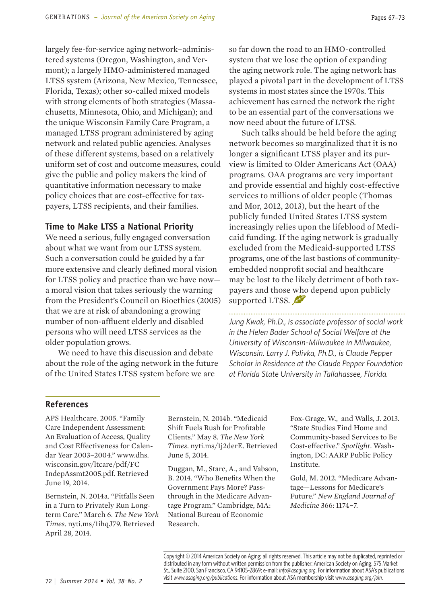largely fee-for-service aging network−administered systems (Oregon, Washington, and Vermont); a largely HMO-administered managed LTSS system (Arizona, New Mexico, Tennessee, Florida, Texas); other so-called mixed models with strong elements of both strategies (Massachusetts, Minnesota, Ohio, and Michigan); and the unique Wisconsin Family Care Program, a managed LTSS program administered by aging network and related public agencies. Analyses of these different systems, based on a relatively uniform set of cost and outcome measures, could give the public and policy makers the kind of quantitative information necessary to make policy choices that are cost-effective for taxpayers, LTSS recipients, and their families.

#### **Time to Make LTSS a National Priority**

We need a serious, fully engaged conversation about what we want from our LTSS system. Such a conversation could be guided by a far more extensive and clearly defined moral vision for LTSS policy and practice than we have now a moral vision that takes seriously the warning from the President's Council on Bioethics (2005) that we are at risk of abandoning a growing number of non-affluent elderly and disabled persons who will need LTSS services as the older population grows.

We need to have this discussion and debate about the role of the aging network in the future of the United States LTSS system before we are

so far down the road to an HMO-controlled system that we lose the option of expanding the aging network role. The aging network has played a pivotal part in the development of LTSS systems in most states since the 1970s. This achievement has earned the network the right to be an essential part of the conversations we now need about the future of LTSS.

Such talks should be held before the aging network becomes so marginalized that it is no longer a significant LTSS player and its purview is limited to Older Americans Act (OAA) programs. OAA programs are very important and provide essential and highly cost-effective services to millions of older people (Thomas and Mor, 2012, 2013), but the heart of the publicly funded United States LTSS system increasingly relies upon the lifeblood of Medicaid funding. If the aging network is gradually excluded from the Medicaid-supported LTSS programs, one of the last bastions of communityembedded nonprofit social and healthcare may be lost to the likely detriment of both taxpayers and those who depend upon publicly supported LTSS.

*Jung Kwak, Ph.D., is associate professor of social work in the Helen Bader School of Social Welfare at the University of Wisconsin-Milwaukee in Milwaukee, Wisconsin. Larry J. Polivka, Ph.D., is Claude Pepper Scholar in Residence at the Claude Pepper Foundation at Florida State University in Tallahassee, Florida.*

#### **References**

APS Healthcare. 2005. "Family Care Independent Assessment: An Evaluation of Access, Quality and Cost Effectiveness for Calendar Year 2003–2004." www.dhs. wisconsin.gov/ltcare/pdf/FC IndepAssmt2005.pdf. Retrieved June 19, 2014.

Bernstein, N. 2014a. "Pitfalls Seen in a Turn to Privately Run Longterm Care." March 6. *The New York Times*. nyti.ms/1ihqJ79. Retrieved April 28, 2014.

Bernstein, N. 2014b. "Medicaid Shift Fuels Rush for Profitable Clients." May 8. *The New York Times*. nyti.ms/1j2derE. Retrieved June 5, 2014.

Duggan, M., Starc, A., and Vabson, B. 2014. "Who Benefits When the Government Pays More? Passthrough in the Medicare Advantage Program." Cambridge, MA: National Bureau of Economic Research.

Fox-Grage, W., and Walls, J. 2013. "State Studies Find Home and Community-based Services to Be Cost-effective." *Spotlight*. Washington, DC: AARP Public Policy Institute.

Gold, M. 2012. "Medicare Advantage—Lessons for Medicare's Future." *New England Journal of Medicine* 366: 1174−7.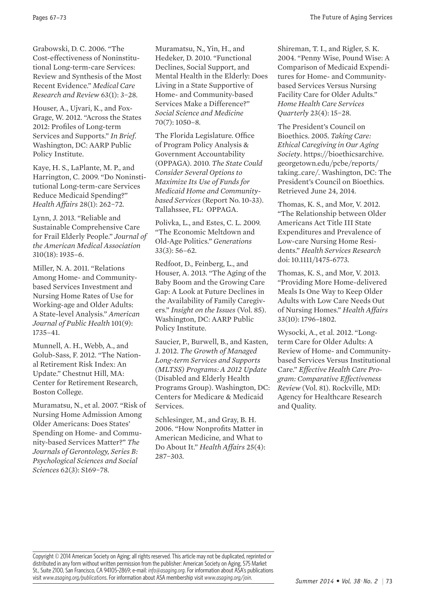Grabowski, D. C. 2006. "The Cost-effectiveness of Noninstitutional Long-term-care Services: Review and Synthesis of the Most Recent Evidence." *Medical Care Research and Review* 63(1): 3−28.

Houser, A., Ujvari, K., and Fox-Grage, W. 2012. "Across the States 2012: Profiles of Long-term Services and Supports." *In Brief*. Washington, DC: AARP Public Policy Institute.

Kaye, H. S., LaPlante, M. P., and Harrington, C. 2009. "Do Noninstitutional Long-term-care Services Reduce Medicaid Spending?" *Health Affairs* 28(1): 262−72.

Lynn, J. 2013. "Reliable and Sustainable Comprehensive Care for Frail Elderly People." *Journal of the American Medical Association* 310(18): 1935–6.

Miller, N. A. 2011. "Relations Among Home- and Communitybased Services Investment and Nursing Home Rates of Use for Working-age and Older Adults: A State-level Analysis." *American Journal of Public Health* 101(9): 1735–41.

Munnell, A. H., Webb, A., and Golub-Sass, F. 2012. "The National Retirement Risk Index: An Update." Chestnut Hill, MA: Center for Retirement Research, Boston College.

Muramatsu, N., et al. 2007. "Risk of Nursing Home Admission Among Older Americans: Does States' Spending on Home- and Community-based Services Matter?" *The Journals of Gerontology, Series B: Psychological Sciences and Social Sciences* 62(3): S169−78.

Muramatsu, N., Yin, H., and Hedeker, D. 2010. "Functional Declines, Social Support, and Mental Health in the Elderly: Does Living in a State Supportive of Home- and Community-based Services Make a Difference?" *Social Science and Medicine* 70(7): 1050–8.

The Florida Legislature. Office of Program Policy Analysis & Government Accountability (OPPAGA). 2010. *The State Could Consider Several Options to Maximize Its Use of Funds for Medicaid Home and Communitybased Services* (Report No. 10-33). Tallahssee, FL: OPPAGA.

Polivka, L., and Estes, C. L. 2009. "The Economic Meltdown and Old-Age Politics." *Generations* 33(3): 56–62.

Redfoot, D., Feinberg, L., and Houser, A. 2013. "The Aging of the Baby Boom and the Growing Care Gap: A Look at Future Declines in the Availability of Family Caregivers." *Insight on the Issues* (Vol. 85). Washington, DC: AARP Public Policy Institute.

Saucier, P., Burwell, B., and Kasten, J. 2012. *The Growth of Managed Long-term Services and Supports (MLTSS) Programs: A 2012 Update* (Disabled and Elderly Health Programs Group). Washington, DC: Centers for Medicare & Medicaid Services.

Schlesinger, M., and Gray, B. H. 2006. "How Nonprofits Matter in American Medicine, and What to Do About It." *Health Affairs* 25(4): 287−303.

Shireman, T. I., and Rigler, S. K. 2004. "Penny Wise, Pound Wise: A Comparison of Medicaid Expenditures for Home- and Communitybased Services Versus Nursing Facility Care for Older Adults." *Home Health Care Services Quarterly* 23(4): 15−28.

The President's Council on Bioethics. 2005. *Taking Care: Ethical Caregiving in Our Aging Society*. https://bioethicsarchive. georgetown.edu/pcbe/reports/ taking\_care/. Washington, DC: The President's Council on Bioethics. Retrieved June 24, 2014.

Thomas, K. S., and Mor, V. 2012. "The Relationship between Older Americans Act Title III State Expenditures and Prevalence of Low-care Nursing Home Residents." *Health Services Research* doi: 10.1111/1475-6773.

Thomas, K. S., and Mor, V. 2013. "Providing More Home-delivered Meals Is One Way to Keep Older Adults with Low Care Needs Out of Nursing Homes." *Health Affairs* 33(10): 1796–1802.

Wysocki, A., et al. 2012. "Longterm Care for Older Adults: A Review of Home- and Communitybased Services Versus Institutional Care." *Effective Health Care Program: Comparative Effectiveness Review* (Vol. 81). Rockville, MD: Agency for Healthcare Research and Quality.